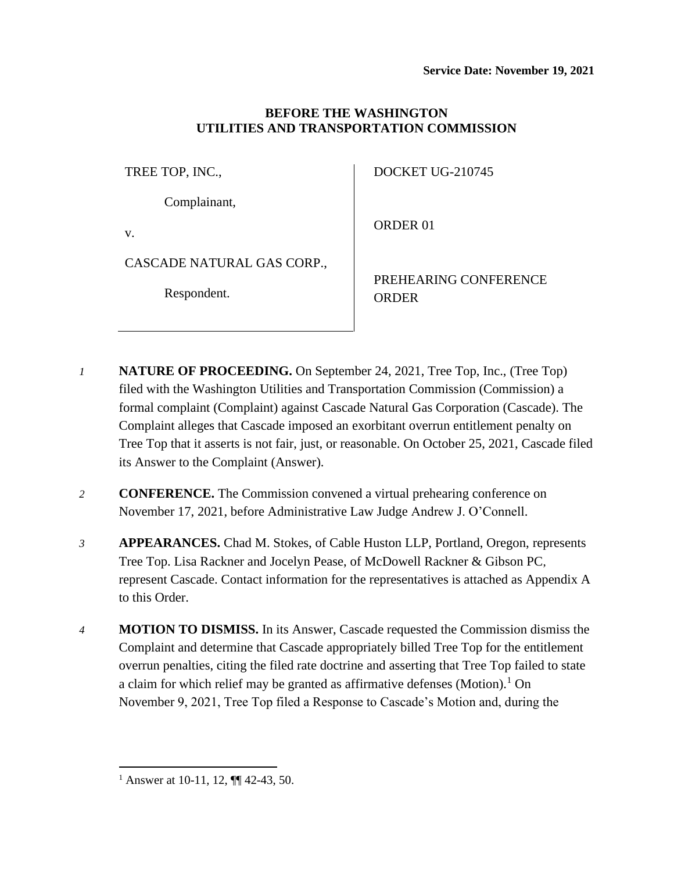## **BEFORE THE WASHINGTON UTILITIES AND TRANSPORTATION COMMISSION**

TREE TOP, INC.,

Complainant,

v.

CASCADE NATURAL GAS CORP.,

Respondent.

DOCKET UG-210745

ORDER 01

PREHEARING CONFERENCE ORDER

- *1* **NATURE OF PROCEEDING.** On September 24, 2021, Tree Top, Inc., (Tree Top) filed with the Washington Utilities and Transportation Commission (Commission) a formal complaint (Complaint) against Cascade Natural Gas Corporation (Cascade). The Complaint alleges that Cascade imposed an exorbitant overrun entitlement penalty on Tree Top that it asserts is not fair, just, or reasonable. On October 25, 2021, Cascade filed its Answer to the Complaint (Answer).
- *2* **CONFERENCE.** The Commission convened a virtual prehearing conference on November 17, 2021, before Administrative Law Judge Andrew J. O'Connell.
- *3* **APPEARANCES.** Chad M. Stokes, of Cable Huston LLP, Portland, Oregon, represents Tree Top. Lisa Rackner and Jocelyn Pease, of McDowell Rackner & Gibson PC, represent Cascade. Contact information for the representatives is attached as Appendix A to this Order.
- *4* **MOTION TO DISMISS.** In its Answer, Cascade requested the Commission dismiss the Complaint and determine that Cascade appropriately billed Tree Top for the entitlement overrun penalties, citing the filed rate doctrine and asserting that Tree Top failed to state a claim for which relief may be granted as affirmative defenses (Motion).<sup>1</sup> On November 9, 2021, Tree Top filed a Response to Cascade's Motion and, during the

<sup>&</sup>lt;sup>1</sup> Answer at 10-11, 12,  $\P$  42-43, 50.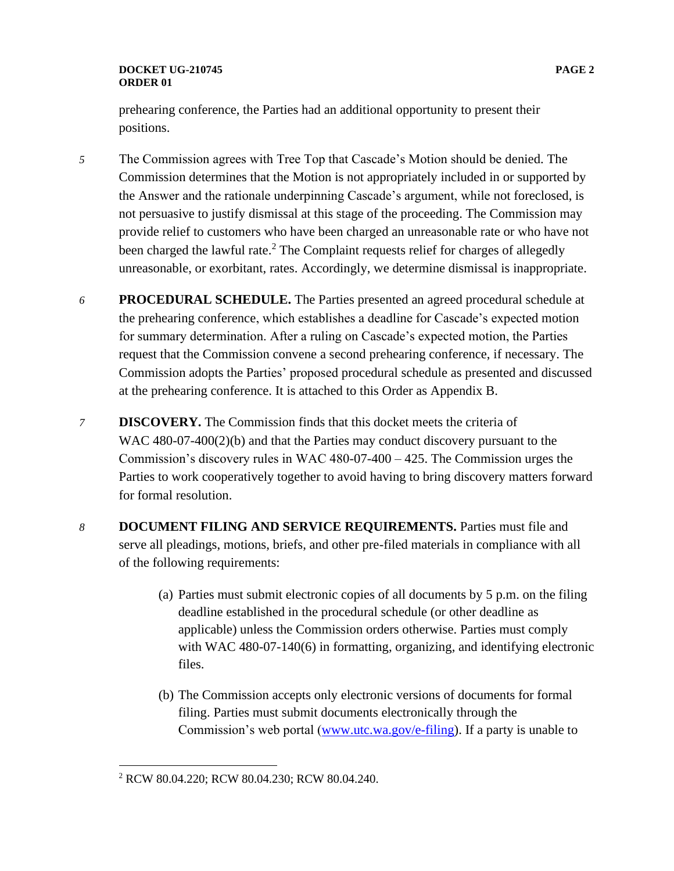## **DOCKET UG-210745 PAGE 2 ORDER 01**

prehearing conference, the Parties had an additional opportunity to present their positions.

- *5* The Commission agrees with Tree Top that Cascade's Motion should be denied. The Commission determines that the Motion is not appropriately included in or supported by the Answer and the rationale underpinning Cascade's argument, while not foreclosed, is not persuasive to justify dismissal at this stage of the proceeding. The Commission may provide relief to customers who have been charged an unreasonable rate or who have not been charged the lawful rate.<sup>2</sup> The Complaint requests relief for charges of allegedly unreasonable, or exorbitant, rates. Accordingly, we determine dismissal is inappropriate.
- *6* **PROCEDURAL SCHEDULE.** The Parties presented an agreed procedural schedule at the prehearing conference, which establishes a deadline for Cascade's expected motion for summary determination. After a ruling on Cascade's expected motion, the Parties request that the Commission convene a second prehearing conference, if necessary. The Commission adopts the Parties' proposed procedural schedule as presented and discussed at the prehearing conference. It is attached to this Order as Appendix B.
- *7* **DISCOVERY.** The Commission finds that this docket meets the criteria of WAC 480-07-400(2)(b) and that the Parties may conduct discovery pursuant to the Commission's discovery rules in WAC 480-07-400 – 425. The Commission urges the Parties to work cooperatively together to avoid having to bring discovery matters forward for formal resolution.
- *8* **DOCUMENT FILING AND SERVICE REQUIREMENTS.** Parties must file and serve all pleadings, motions, briefs, and other pre-filed materials in compliance with all of the following requirements:
	- (a) Parties must submit electronic copies of all documents by 5 p.m. on the filing deadline established in the procedural schedule (or other deadline as applicable) unless the Commission orders otherwise. Parties must comply with WAC 480-07-140(6) in formatting, organizing, and identifying electronic files.
	- (b) The Commission accepts only electronic versions of documents for formal filing. Parties must submit documents electronically through the Commission's web portal [\(www.utc.wa.gov/e-filing\)](http://www.utc.wa.gov/e-filing). If a party is unable to

<sup>2</sup> RCW 80.04.220; RCW 80.04.230; RCW 80.04.240.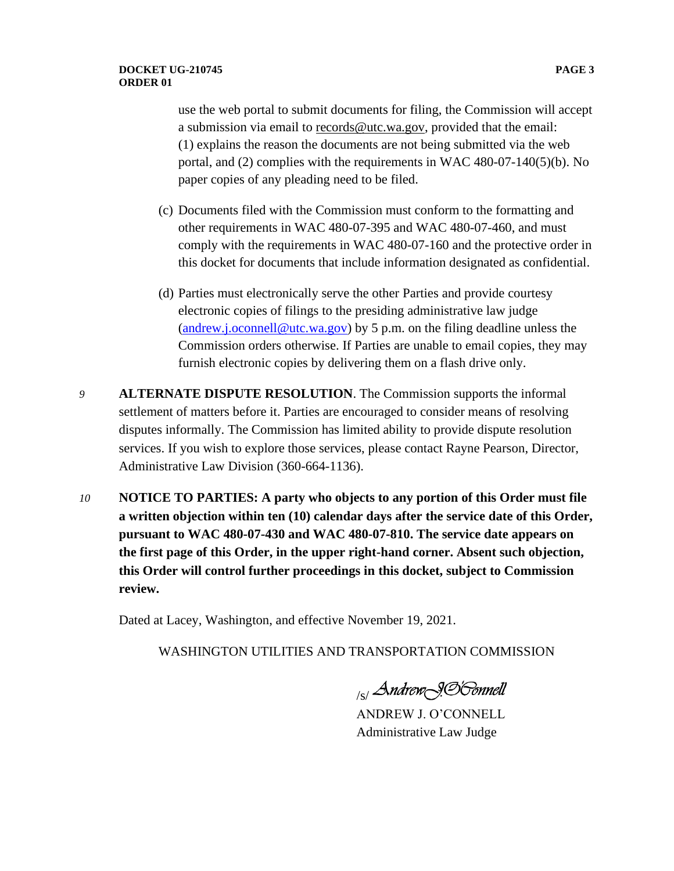use the web portal to submit documents for filing, the Commission will accept a submission via email to [records@utc.wa.gov,](mailto:records@utc.wa.gov) provided that the email: (1) explains the reason the documents are not being submitted via the web portal, and (2) complies with the requirements in WAC 480-07-140(5)(b). No paper copies of any pleading need to be filed.

- (c) Documents filed with the Commission must conform to the formatting and other requirements in WAC 480-07-395 and WAC 480-07-460, and must comply with the requirements in WAC 480-07-160 and the protective order in this docket for documents that include information designated as confidential.
- (d) Parties must electronically serve the other Parties and provide courtesy electronic copies of filings to the presiding administrative law judge [\(andrew.j.oconnell@utc.wa.gov\)](mailto:andrew.j.oconnell@utc.wa.gov) by 5 p.m. on the filing deadline unless the Commission orders otherwise. If Parties are unable to email copies, they may furnish electronic copies by delivering them on a flash drive only.
- *9* **ALTERNATE DISPUTE RESOLUTION**. The Commission supports the informal settlement of matters before it. Parties are encouraged to consider means of resolving disputes informally. The Commission has limited ability to provide dispute resolution services. If you wish to explore those services, please contact Rayne Pearson, Director, Administrative Law Division (360-664-1136).
- *10* **NOTICE TO PARTIES: A party who objects to any portion of this Order must file a written objection within ten (10) calendar days after the service date of this Order, pursuant to WAC 480-07-430 and WAC 480-07-810. The service date appears on the first page of this Order, in the upper right-hand corner. Absent such objection, this Order will control further proceedings in this docket, subject to Commission review.**

Dated at Lacey, Washington, and effective November 19, 2021.

WASHINGTON UTILITIES AND TRANSPORTATION COMMISSION

<sub>/s/</sub> Andrew<sub>\</sub>996mnell

ANDREW J. O'CONNELL Administrative Law Judge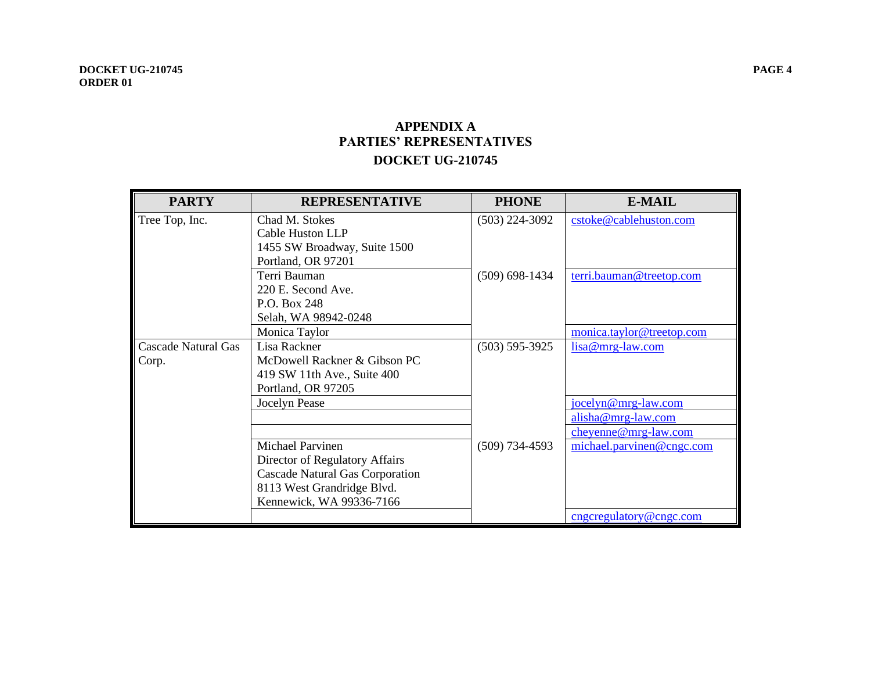## **APPENDIX A PARTIES' REPRESENTATIVES DOCKET UG-210745**

| <b>PARTY</b>               | <b>REPRESENTATIVE</b>           | <b>PHONE</b>       | <b>E-MAIL</b>             |
|----------------------------|---------------------------------|--------------------|---------------------------|
| Tree Top, Inc.             | Chad M. Stokes                  | $(503)$ 224-3092   | cstoke@cablehuston.com    |
|                            | Cable Huston LLP                |                    |                           |
|                            | 1455 SW Broadway, Suite 1500    |                    |                           |
|                            | Portland, OR 97201              |                    |                           |
|                            | Terri Bauman                    | $(509)$ 698-1434   | terri.bauman@treetop.com  |
|                            | 220 E. Second Ave.              |                    |                           |
|                            | P.O. Box 248                    |                    |                           |
|                            | Selah, WA 98942-0248            |                    |                           |
|                            | Monica Taylor                   |                    | monica.taylor@treetop.com |
| <b>Cascade Natural Gas</b> | Lisa Rackner                    | $(503) 595 - 3925$ | $lisa@mrg-law.com$        |
| Corp.                      | McDowell Rackner & Gibson PC    |                    |                           |
|                            | 419 SW 11th Ave., Suite 400     |                    |                           |
|                            | Portland, OR 97205              |                    |                           |
|                            | Jocelyn Pease                   |                    | jocelyn@mrg-law.com       |
|                            |                                 |                    | $alisha@mrg-law.com$      |
|                            |                                 |                    | cheyenne@mrg-law.com      |
|                            | <b>Michael Parvinen</b>         | $(509)$ 734-4593   | michael.parvinen@cngc.com |
|                            | Director of Regulatory Affairs  |                    |                           |
|                            | Cascade Natural Gas Corporation |                    |                           |
|                            | 8113 West Grandridge Blvd.      |                    |                           |
|                            | Kennewick, WA 99336-7166        |                    |                           |
|                            |                                 |                    | cngcregulatory@cngc.com   |